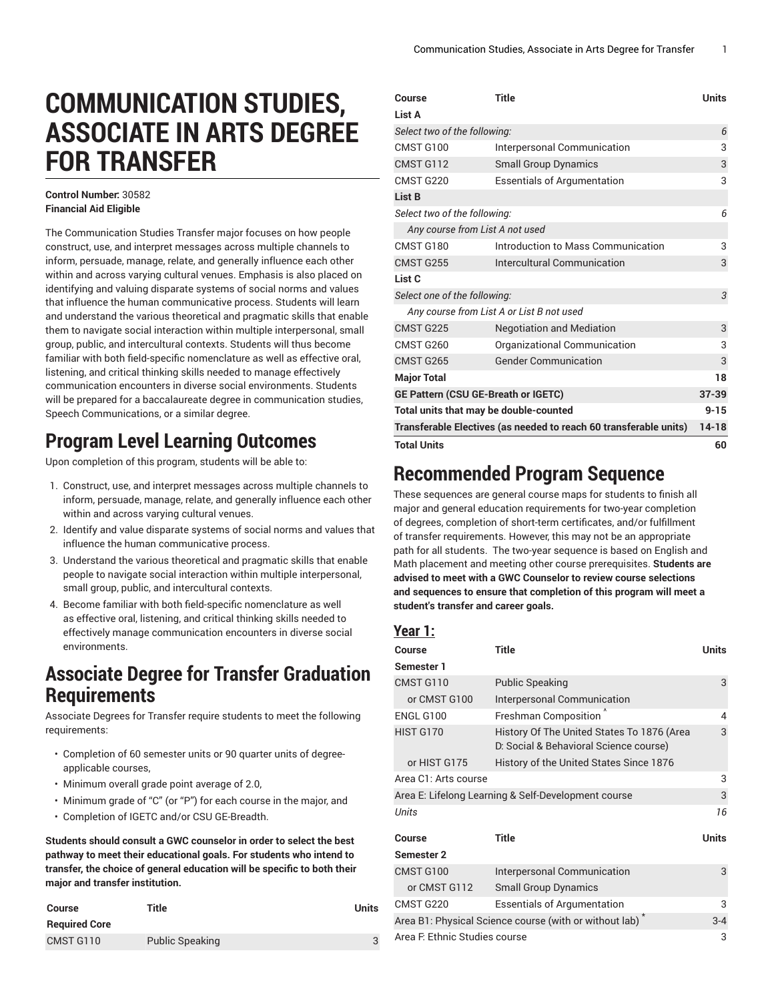# **COMMUNICATION STUDIES, ASSOCIATE IN ARTS DEGREE FOR TRANSFER**

#### **Control Number:** 30582 **Financial Aid Eligible**

The Communication Studies Transfer major focuses on how people construct, use, and interpret messages across multiple channels to inform, persuade, manage, relate, and generally influence each other within and across varying cultural venues. Emphasis is also placed on identifying and valuing disparate systems of social norms and values that influence the human communicative process. Students will learn and understand the various theoretical and pragmatic skills that enable them to navigate social interaction within multiple interpersonal, small group, public, and intercultural contexts. Students will thus become familiar with both field-specific nomenclature as well as effective oral, listening, and critical thinking skills needed to manage effectively communication encounters in diverse social environments. Students will be prepared for a baccalaureate degree in communication studies, Speech Communications, or a similar degree.

## **Program Level Learning Outcomes**

Upon completion of this program, students will be able to:

- 1. Construct, use, and interpret messages across multiple channels to inform, persuade, manage, relate, and generally influence each other within and across varying cultural venues.
- 2. Identify and value disparate systems of social norms and values that influence the human communicative process.
- 3. Understand the various theoretical and pragmatic skills that enable people to navigate social interaction within multiple interpersonal, small group, public, and intercultural contexts.
- 4. Become familiar with both field-specific nomenclature as well as effective oral, listening, and critical thinking skills needed to effectively manage communication encounters in diverse social environments.

### **Associate Degree for Transfer Graduation Requirements**

Associate Degrees for Transfer require students to meet the following requirements:

- Completion of 60 semester units or 90 quarter units of degreeapplicable courses,
- Minimum overall grade point average of 2.0,
- Minimum grade of "C" (or "P") for each course in the major, and
- Completion of IGETC and/or CSU GE-Breadth.

**Students should consult a GWC counselor in order to select the best pathway to meet their educational goals. For students who intend to transfer, the choice of general education will be specific to both their major and transfer institution.**

| Course               | Title                  | Units |
|----------------------|------------------------|-------|
| <b>Required Core</b> |                        |       |
| CMST G110            | <b>Public Speaking</b> |       |

| List A<br>Select two of the following:<br>6<br>CMST G100<br>3<br>Interpersonal Communication<br>CMST G112<br>3<br><b>Small Group Dynamics</b><br>CMST G220<br>3<br><b>Essentials of Argumentation</b><br>List B<br>Select two of the following:<br>6<br>Any course from List A not used<br>CMST G180<br>Introduction to Mass Communication<br>3<br>CMST G255<br>3<br>Intercultural Communication<br>List C<br>3<br>Select one of the following:<br>Any course from List A or List B not used<br>CMST G225<br><b>Negotiation and Mediation</b><br>3<br>CMST G260<br>3<br>Organizational Communication<br><b>Gender Communication</b><br>3<br>CMST G265<br><b>Major Total</b><br>18<br>$37 - 39$<br>GE Pattern (CSU GE-Breath or IGETC)<br>$9 - 15$<br>Total units that may be double-counted<br>Transferable Electives (as needed to reach 60 transferable units)<br>$14 - 18$<br><b>Total Units</b><br>60 | Course | <b>Title</b> | <b>Units</b> |
|-----------------------------------------------------------------------------------------------------------------------------------------------------------------------------------------------------------------------------------------------------------------------------------------------------------------------------------------------------------------------------------------------------------------------------------------------------------------------------------------------------------------------------------------------------------------------------------------------------------------------------------------------------------------------------------------------------------------------------------------------------------------------------------------------------------------------------------------------------------------------------------------------------------|--------|--------------|--------------|
|                                                                                                                                                                                                                                                                                                                                                                                                                                                                                                                                                                                                                                                                                                                                                                                                                                                                                                           |        |              |              |
|                                                                                                                                                                                                                                                                                                                                                                                                                                                                                                                                                                                                                                                                                                                                                                                                                                                                                                           |        |              |              |
|                                                                                                                                                                                                                                                                                                                                                                                                                                                                                                                                                                                                                                                                                                                                                                                                                                                                                                           |        |              |              |
|                                                                                                                                                                                                                                                                                                                                                                                                                                                                                                                                                                                                                                                                                                                                                                                                                                                                                                           |        |              |              |
|                                                                                                                                                                                                                                                                                                                                                                                                                                                                                                                                                                                                                                                                                                                                                                                                                                                                                                           |        |              |              |
|                                                                                                                                                                                                                                                                                                                                                                                                                                                                                                                                                                                                                                                                                                                                                                                                                                                                                                           |        |              |              |
|                                                                                                                                                                                                                                                                                                                                                                                                                                                                                                                                                                                                                                                                                                                                                                                                                                                                                                           |        |              |              |
|                                                                                                                                                                                                                                                                                                                                                                                                                                                                                                                                                                                                                                                                                                                                                                                                                                                                                                           |        |              |              |
|                                                                                                                                                                                                                                                                                                                                                                                                                                                                                                                                                                                                                                                                                                                                                                                                                                                                                                           |        |              |              |
|                                                                                                                                                                                                                                                                                                                                                                                                                                                                                                                                                                                                                                                                                                                                                                                                                                                                                                           |        |              |              |
|                                                                                                                                                                                                                                                                                                                                                                                                                                                                                                                                                                                                                                                                                                                                                                                                                                                                                                           |        |              |              |
|                                                                                                                                                                                                                                                                                                                                                                                                                                                                                                                                                                                                                                                                                                                                                                                                                                                                                                           |        |              |              |
|                                                                                                                                                                                                                                                                                                                                                                                                                                                                                                                                                                                                                                                                                                                                                                                                                                                                                                           |        |              |              |
|                                                                                                                                                                                                                                                                                                                                                                                                                                                                                                                                                                                                                                                                                                                                                                                                                                                                                                           |        |              |              |
|                                                                                                                                                                                                                                                                                                                                                                                                                                                                                                                                                                                                                                                                                                                                                                                                                                                                                                           |        |              |              |
|                                                                                                                                                                                                                                                                                                                                                                                                                                                                                                                                                                                                                                                                                                                                                                                                                                                                                                           |        |              |              |
|                                                                                                                                                                                                                                                                                                                                                                                                                                                                                                                                                                                                                                                                                                                                                                                                                                                                                                           |        |              |              |
|                                                                                                                                                                                                                                                                                                                                                                                                                                                                                                                                                                                                                                                                                                                                                                                                                                                                                                           |        |              |              |
|                                                                                                                                                                                                                                                                                                                                                                                                                                                                                                                                                                                                                                                                                                                                                                                                                                                                                                           |        |              |              |
|                                                                                                                                                                                                                                                                                                                                                                                                                                                                                                                                                                                                                                                                                                                                                                                                                                                                                                           |        |              |              |
|                                                                                                                                                                                                                                                                                                                                                                                                                                                                                                                                                                                                                                                                                                                                                                                                                                                                                                           |        |              |              |

### **Recommended Program Sequence**

These sequences are general course maps for students to finish all major and general education requirements for two-year completion of degrees, completion of short-term certificates, and/or fulfillment of transfer requirements. However, this may not be an appropriate path for all students. The two-year sequence is based on English and Math placement and meeting other course prerequisites. **Students are advised to meet with a GWC Counselor to review course selections and sequences to ensure that completion of this program will meet a student's transfer and career goals.**

#### **Year 1:**

| Course                                                      | <b>Title</b>                                                                         | <b>Units</b> |
|-------------------------------------------------------------|--------------------------------------------------------------------------------------|--------------|
| Semester 1                                                  |                                                                                      |              |
| CMST G110                                                   | <b>Public Speaking</b>                                                               | 3            |
| or CMST G100                                                | Interpersonal Communication                                                          |              |
| ENGL G100                                                   | <b>Freshman Composition</b>                                                          | 4            |
| HIST G170                                                   | History Of The United States To 1876 (Area<br>D: Social & Behavioral Science course) | 3            |
| or HIST G175                                                | History of the United States Since 1876                                              |              |
| Area C1: Arts course                                        |                                                                                      | 3            |
|                                                             | Area E: Lifelong Learning & Self-Development course                                  | 3            |
| Units                                                       |                                                                                      | 16           |
| Course                                                      | <b>Title</b>                                                                         | <b>Units</b> |
| <b>Semester 2</b>                                           |                                                                                      |              |
| CMST G100                                                   | Interpersonal Communication                                                          | 3            |
| or CMST G112                                                | <b>Small Group Dynamics</b>                                                          |              |
| CMST G220                                                   | <b>Essentials of Argumentation</b>                                                   | 3            |
| Area B1: Physical Science course (with or without lab) $^*$ |                                                                                      | $3 - 4$      |
| Area F. Ethnic Studies course                               |                                                                                      |              |